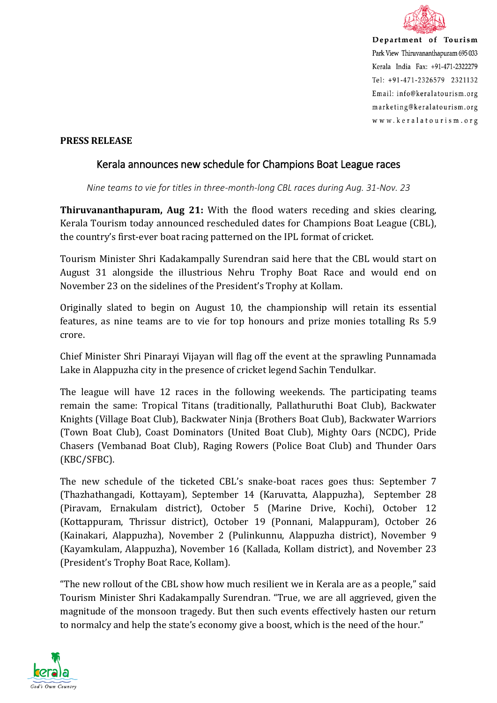

Department of Tourism Park View Thiruvananthapuram 695 033 Kerala India Fax: +91-471-2322279 Tel: +91-471-2326579 2321132 Email: info@keralatourism.org marketing@keralatourism.org www.keralatourism.org

## **PRESS RELEASE**

## Kerala announces new schedule for Champions Boat League races

*Nine teams to vie for titles in three-month-long CBL races during Aug. 31-Nov. 23*

**Thiruvananthapuram, Aug 21:** With the flood waters receding and skies clearing, Kerala Tourism today announced rescheduled dates for Champions Boat League (CBL), the country's first-ever boat racing patterned on the IPL format of cricket.

Tourism Minister Shri Kadakampally Surendran said here that the CBL would start on August 31 alongside the illustrious Nehru Trophy Boat Race and would end on November 23 on the sidelines of the President's Trophy at Kollam.

Originally slated to begin on August 10, the championship will retain its essential features, as nine teams are to vie for top honours and prize monies totalling Rs 5.9 crore.

Chief Minister Shri Pinarayi Vijayan will flag off the event at the sprawling Punnamada Lake in Alappuzha city in the presence of cricket legend Sachin Tendulkar.

The league will have 12 races in the following weekends. The participating teams remain the same: Tropical Titans (traditionally, Pallathuruthi Boat Club), Backwater Knights (Village Boat Club), Backwater Ninja (Brothers Boat Club), Backwater Warriors (Town Boat Club), Coast Dominators (United Boat Club), Mighty Oars (NCDC), Pride Chasers (Vembanad Boat Club), Raging Rowers (Police Boat Club) and Thunder Oars (KBC/SFBC).

The new schedule of the ticketed CBL's snake-boat races goes thus: September 7 (Thazhathangadi, Kottayam), September 14 (Karuvatta, Alappuzha), September 28 (Piravam, Ernakulam district), October 5 (Marine Drive, Kochi), October 12 (Kottappuram, Thrissur district), October 19 (Ponnani, Malappuram), October 26 (Kainakari, Alappuzha), November 2 (Pulinkunnu, Alappuzha district), November 9 (Kayamkulam, Alappuzha), November 16 (Kallada, Kollam district), and November 23 (President's Trophy Boat Race, Kollam).

"The new rollout of the CBL show how much resilient we in Kerala are as a people," said Tourism Minister Shri Kadakampally Surendran. "True, we are all aggrieved, given the magnitude of the monsoon tragedy. But then such events effectively hasten our return to normalcy and help the state's economy give a boost, which is the need of the hour."

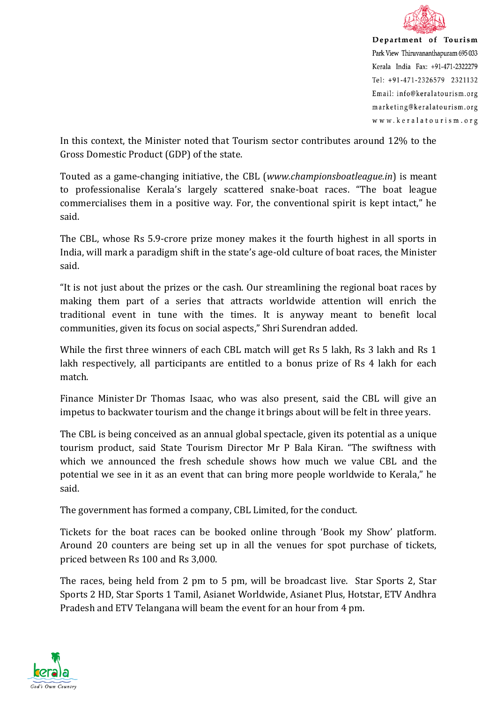

Department of Tourism Park View Thiruvananthapuram 695 033 Kerala India Fax: +91-471-2322279 Tel: +91-471-2326579 2321132 Email: info@keralatourism.org marketing@keralatourism.org www.keralatourism.org

In this context, the Minister noted that Tourism sector contributes around 12% to the Gross Domestic Product (GDP) of the state.

Touted as a game-changing initiative, the CBL (*www.championsboatleague.in*) is meant to professionalise Kerala's largely scattered snake-boat races. "The boat league commercialises them in a positive way. For, the conventional spirit is kept intact," he said.

The CBL, whose Rs 5.9-crore prize money makes it the fourth highest in all sports in India, will mark a paradigm shift in the state's age-old culture of boat races, the Minister said.

"It is not just about the prizes or the cash. Our streamlining the regional boat races by making them part of a series that attracts worldwide attention will enrich the traditional event in tune with the times. It is anyway meant to benefit local communities, given its focus on social aspects," Shri Surendran added.

While the first three winners of each CBL match will get Rs 5 lakh, Rs 3 lakh and Rs 1 lakh respectively, all participants are entitled to a bonus prize of Rs 4 lakh for each match.

Finance Minister Dr Thomas Isaac, who was also present, said the CBL will give an impetus to backwater tourism and the change it brings about will be felt in three years.

The CBL is being conceived as an annual global spectacle, given its potential as a unique tourism product, said State Tourism Director Mr P Bala Kiran. "The swiftness with which we announced the fresh schedule shows how much we value CBL and the potential we see in it as an event that can bring more people worldwide to Kerala," he said.

The government has formed a company, CBL Limited, for the conduct.

Tickets for the boat races can be booked online through 'Book my Show' platform. Around 20 counters are being set up in all the venues for spot purchase of tickets, priced between Rs 100 and Rs 3,000.

The races, being held from 2 pm to 5 pm, will be broadcast live. Star Sports 2, Star Sports 2 HD, Star Sports 1 Tamil, Asianet Worldwide, Asianet Plus, Hotstar, ETV Andhra Pradesh and ETV Telangana will beam the event for an hour from 4 pm.